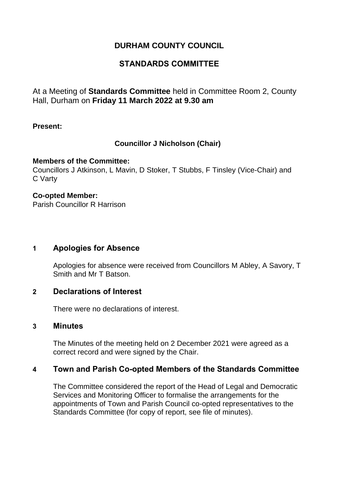## **DURHAM COUNTY COUNCIL**

## **STANDARDS COMMITTEE**

At a Meeting of **Standards Committee** held in Committee Room 2, County Hall, Durham on **Friday 11 March 2022 at 9.30 am**

### **Present:**

## **Councillor J Nicholson (Chair)**

#### **Members of the Committee:**

Councillors J Atkinson, L Mavin, D Stoker, T Stubbs, F Tinsley (Vice-Chair) and C Varty

#### **Co-opted Member:** Parish Councillor R Harrison

## **1 Apologies for Absence**

Apologies for absence were received from Councillors M Abley, A Savory, T Smith and Mr T Batson.

## **2 Declarations of Interest**

There were no declarations of interest.

#### **3 Minutes**

The Minutes of the meeting held on 2 December 2021 were agreed as a correct record and were signed by the Chair.

## **4 Town and Parish Co-opted Members of the Standards Committee**

The Committee considered the report of the Head of Legal and Democratic Services and Monitoring Officer to formalise the arrangements for the appointments of Town and Parish Council co-opted representatives to the Standards Committee (for copy of report, see file of minutes).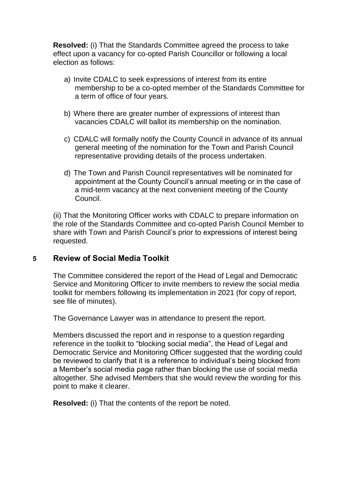**Resolved:** (i) That the Standards Committee agreed the process to take effect upon a vacancy for co-opted Parish Councillor or following a local election as follows:

- a) Invite CDALC to seek expressions of interest from its entire membership to be a co-opted member of the Standards Committee for a term of office of four years.
- b) Where there are greater number of expressions of interest than vacancies CDALC will ballot its membership on the nomination.
- c) CDALC will formally notify the County Council in advance of its annual general meeting of the nomination for the Town and Parish Council representative providing details of the process undertaken.
- d) The Town and Parish Council representatives will be nominated for appointment at the County Council's annual meeting or in the case of a mid-term vacancy at the next convenient meeting of the County Council.

(ii) That the Monitoring Officer works with CDALC to prepare information on the role of the Standards Committee and co-opted Parish Council Member to share with Town and Parish Council's prior to expressions of interest being requested.

## **5 Review of Social Media Toolkit**

The Committee considered the report of the Head of Legal and Democratic Service and Monitoring Officer to invite members to review the social media toolkit for members following its implementation in 2021 (for copy of report, see file of minutes).

The Governance Lawyer was in attendance to present the report.

Members discussed the report and in response to a question regarding reference in the toolkit to "blocking social media", the Head of Legal and Democratic Service and Monitoring Officer suggested that the wording could be reviewed to clarify that it is a reference to individual's being blocked from a Member's social media page rather than blocking the use of social media altogether. She advised Members that she would review the wording for this point to make it clearer.

**Resolved:** (i) That the contents of the report be noted.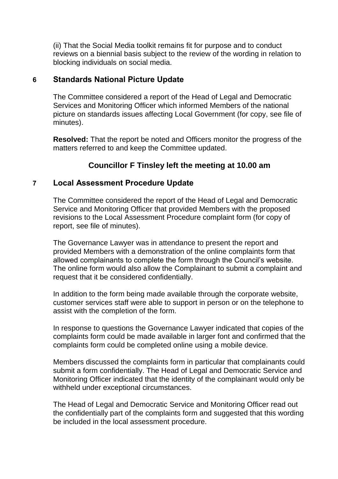(ii) That the Social Media toolkit remains fit for purpose and to conduct reviews on a biennial basis subject to the review of the wording in relation to blocking individuals on social media.

## **6 Standards National Picture Update**

The Committee considered a report of the Head of Legal and Democratic Services and Monitoring Officer which informed Members of the national picture on standards issues affecting Local Government (for copy, see file of minutes).

**Resolved:** That the report be noted and Officers monitor the progress of the matters referred to and keep the Committee updated.

# **Councillor F Tinsley left the meeting at 10.00 am**

## **7 Local Assessment Procedure Update**

The Committee considered the report of the Head of Legal and Democratic Service and Monitoring Officer that provided Members with the proposed revisions to the Local Assessment Procedure complaint form (for copy of report, see file of minutes).

The Governance Lawyer was in attendance to present the report and provided Members with a demonstration of the online complaints form that allowed complainants to complete the form through the Council's website. The online form would also allow the Complainant to submit a complaint and request that it be considered confidentially.

In addition to the form being made available through the corporate website, customer services staff were able to support in person or on the telephone to assist with the completion of the form.

In response to questions the Governance Lawyer indicated that copies of the complaints form could be made available in larger font and confirmed that the complaints form could be completed online using a mobile device.

Members discussed the complaints form in particular that complainants could submit a form confidentially. The Head of Legal and Democratic Service and Monitoring Officer indicated that the identity of the complainant would only be withheld under exceptional circumstances.

The Head of Legal and Democratic Service and Monitoring Officer read out the confidentially part of the complaints form and suggested that this wording be included in the local assessment procedure.